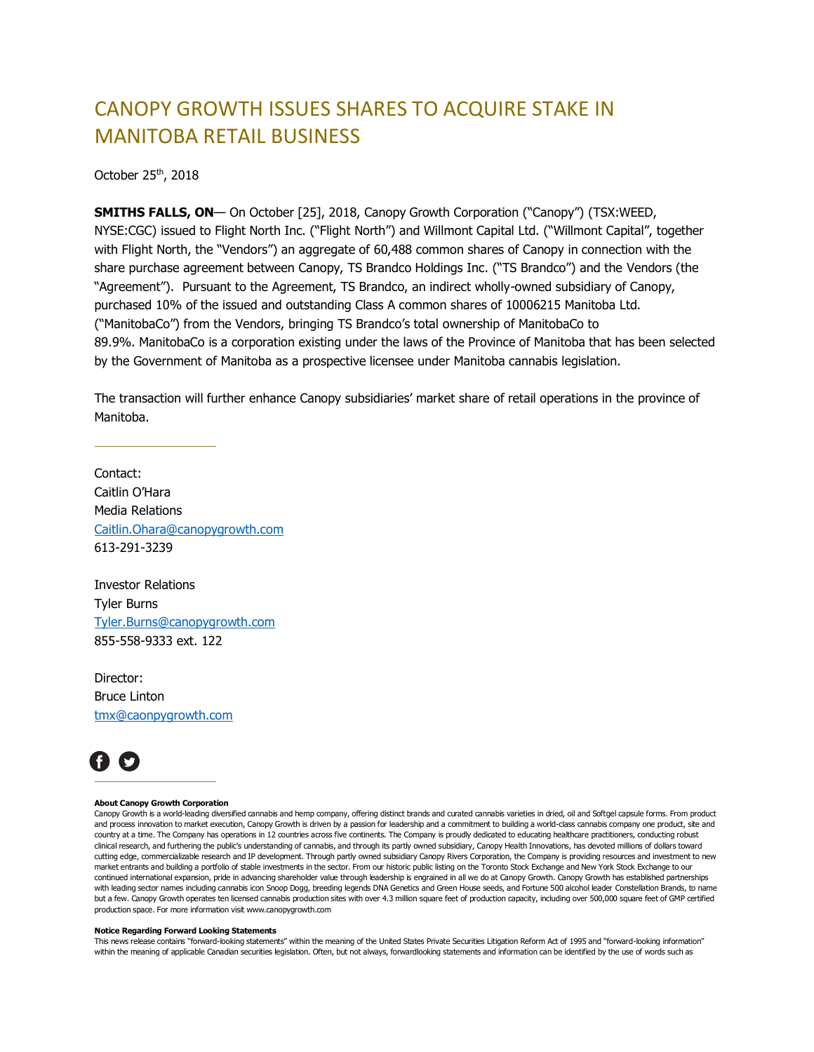## CANOPY GROWTH ISSUES SHARES TO ACQUIRE STAKE IN MANITOBA RETAIL BUSINESS

October 25th, 2018

**SMITHS FALLS, ON**— On October [25], 2018, Canopy Growth Corporation ("Canopy") (TSX:WEED, NYSE:CGC) issued to Flight North Inc. ("Flight North") and Willmont Capital Ltd. ("Willmont Capital", together with Flight North, the "Vendors") an aggregate of 60,488 common shares of Canopy in connection with the share purchase agreement between Canopy, TS Brandco Holdings Inc. ("TS Brandco") and the Vendors (the "Agreement"). Pursuant to the Agreement, TS Brandco, an indirect wholly-owned subsidiary of Canopy, purchased 10% of the issued and outstanding Class A common shares of 10006215 Manitoba Ltd. ("ManitobaCo") from the Vendors, bringing TS Brandco's total ownership of ManitobaCo to 89.9%. ManitobaCo is a corporation existing under the laws of the Province of Manitoba that has been selected by the Government of Manitoba as a prospective licensee under Manitoba cannabis legislation.

The transaction will further enhance Canopy subsidiaries' market share of retail operations in the province of Manitoba.

Contact: Caitlin O'Hara Media Relations [Caitlin.Ohara@canopygrowth.com](mailto:Caitlin.Ohara@canopygrowth.com) 613-291-3239

Investor Relations Tyler Burns [Tyler.Burns@canopygrowth.com](mailto:Tyler.Burns@canopygrowth.com) 855-558-9333 ext. 122

Director: Bruce Linton [tmx@caonpygrowth.com](mailto:tmx@caonpygrowth.com)



## **About Canopy Growth Corporation**

Canopy Growth is a world-leading diversified cannabis and hemp company, offering distinct brands and curated cannabis varieties in dried, oil and Softgel capsule forms. From product and process innovation to market execution, Canopy Growth is driven by a passion for leadership and a commitment to building a world-class cannabis company one product, site and country at a time. The Company has operations in 12 countries across five continents. The Company is proudly dedicated to educating healthcare practitioners, conducting robust clinical research, and furthering the public's understanding of cannabis, and through its partly owned subsidiary, Canopy Health Innovations, has devoted millions of dollars toward cutting edge, commercializable research and IP development. Through partly owned subsidiary Canopy Rivers Corporation, the Company is providing resources and investment to new market entrants and building a portfolio of stable investments in the sector. From our historic public listing on the Toronto Stock Exchange and New York Stock Exchange to our continued international expansion, pride in advancing shareholder value through leadership is engrained in all we do at Canopy Growth. Canopy Growth has established partnerships with leading sector names including cannabis icon Snoop Dogg, breeding legends DNA Genetics and Green House seeds, and Fortune 500 alcohol leader Constellation Brands, to name but a few. Canopy Growth operates ten licensed cannabis production sites with over 4.3 million square feet of production capacity, including over 500,000 square feet of GMP certified production space. For more information visit www.canopygrowth.com

## **Notice Regarding Forward Looking Statements**

This news release contains "forward-looking statements" within the meaning of the United States Private Securities Litigation Reform Act of 1995 and "forward-looking information" within the meaning of applicable Canadian securities legislation. Often, but not always, forwardlooking statements and information can be identified by the use of words such as